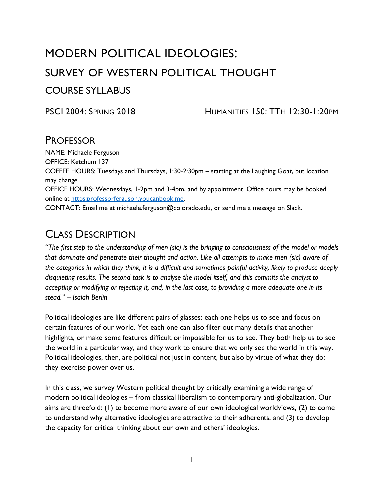# MODERN POLITICAL IDEOLOGIES: SURVEY OF WESTERN POLITICAL THOUGHT COURSE SYLLABUS

PSCI 2004: SPRING 2018 HUMANITIES 150: TTH 12:30-1:20PM

### PROFESSOR

NAME: Michaele Ferguson OFFICE: Ketchum 137 COFFEE HOURS: Tuesdays and Thursdays, 1:30-2:30pm – starting at the Laughing Goat, but location may change. OFFICE HOURS: Wednesdays, 1-2pm and 3-4pm, and by appointment. Office hours may be booked online at [https:professorferguson.youcanbook.me.](https://professorferguson.youcanbook.me/) CONTACT: Email me at michaele.ferguson@colorado.edu, or send me a message on Slack.

## CLASS DESCRIPTION

*"The first step to the understanding of men (sic) is the bringing to consciousness of the model or models that dominate and penetrate their thought and action. Like all attempts to make men (sic) aware of the categories in which they think, it is a difficult and sometimes painful activity, likely to produce deeply disquieting results. The second task is to analyse the model itself, and this commits the analyst to accepting or modifying or rejecting it, and, in the last case, to providing a more adequate one in its stead." – Isaiah Berlin*

Political ideologies are like different pairs of glasses: each one helps us to see and focus on certain features of our world. Yet each one can also filter out many details that another highlights, or make some features difficult or impossible for us to see. They both help us to see the world in a particular way, and they work to ensure that we only see the world in this way. Political ideologies, then, are political not just in content, but also by virtue of what they do: they exercise power over us.

In this class, we survey Western political thought by critically examining a wide range of modern political ideologies – from classical liberalism to contemporary anti-globalization. Our aims are threefold: (1) to become more aware of our own ideological worldviews, (2) to come to understand why alternative ideologies are attractive to their adherents, and (3) to develop the capacity for critical thinking about our own and others' ideologies.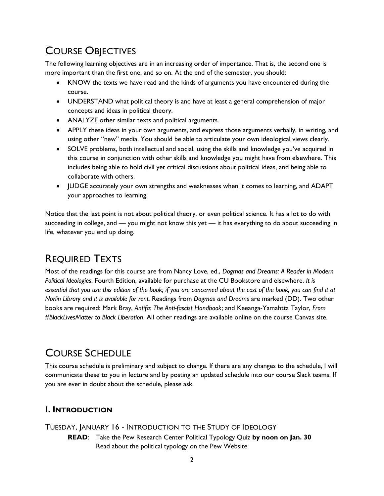# COURSE OBJECTIVES

The following learning objectives are in an increasing order of importance. That is, the second one is more important than the first one, and so on. At the end of the semester, you should:

- KNOW the texts we have read and the kinds of arguments you have encountered during the course.
- UNDERSTAND what political theory is and have at least a general comprehension of major concepts and ideas in political theory.
- ANALYZE other similar texts and political arguments.
- APPLY these ideas in your own arguments, and express those arguments verbally, in writing, and using other "new" media. You should be able to articulate your own ideological views clearly.
- SOLVE problems, both intellectual and social, using the skills and knowledge you've acquired in this course in conjunction with other skills and knowledge you might have from elsewhere. This includes being able to hold civil yet critical discussions about political ideas, and being able to collaborate with others.
- JUDGE accurately your own strengths and weaknesses when it comes to learning, and ADAPT your approaches to learning.

Notice that the last point is not about political theory, or even political science. It has a lot to do with succeeding in college, and — you might not know this yet — it has everything to do about succeeding in life, whatever you end up doing.

# REQUIRED TEXTS

Most of the readings for this course are from Nancy Love, ed., *Dogmas and Dreams: A Reader in Modern Political Ideologies*, Fourth Edition, available for purchase at the CU Bookstore and elsewhere. *It is essential that you use this edition of the book; if you are concerned about the cost of the book, you can find it at Norlin Library and it is available for rent.* Readings from *Dogmas and Dreams* are marked (DD). Two other books are required: Mark Bray, *Antifa: The Anti-fascist Handbook*; and Keeanga-Yamahtta Taylor, *From #BlackLivesMatter to Black Liberation*. All other readings are available online on the course Canvas site.

# COURSE SCHEDULE

This course schedule is preliminary and subject to change. If there are any changes to the schedule, I will communicate these to you in lecture and by posting an updated schedule into our course Slack teams. If you are ever in doubt about the schedule, please ask.

### **I. INTRODUCTION**

TUESDAY, JANUARY 16 - INTRODUCTION TO THE STUDY OF IDEOLOGY

**READ**: Take the Pew Research Center Political Typology Quiz **by noon on Jan. 30** Read about the political typology on the Pew Website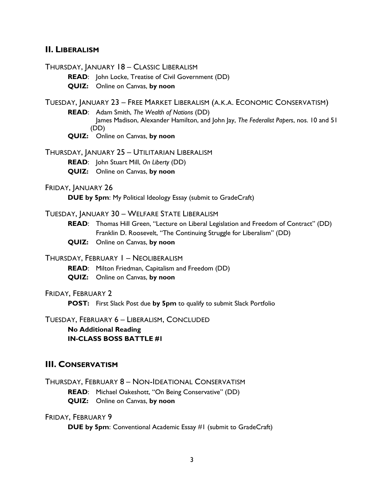#### **II. LIBERALISM**

THURSDAY, JANUARY 18 – CLASSIC LIBERALISM

**READ**: John Locke, Treatise of Civil Government (DD)

**QUIZ:** Online on Canvas, **by noon**

TUESDAY, JANUARY 23 – FREE MARKET LIBERALISM (A.K.A. ECONOMIC CONSERVATISM)

**READ**: Adam Smith, *The Wealth of Nations* (DD)

James Madison, Alexander Hamilton, and John Jay, *The Federalist Papers*, nos. 10 and 51 (DD)

**QUIZ:** Online on Canvas, **by noon**

#### THURSDAY, JANUARY 25 – UTILITARIAN LIBERALISM

**READ**: John Stuart Mill, *On Liberty* (DD)

**QUIZ:** Online on Canvas, **by noon**

#### FRIDAY, JANUARY 26

**DUE by 5pm**: My Political Ideology Essay (submit to GradeCraft)

#### TUESDAY, JANUARY 30 – WELFARE STATE LIBERALISM

- **READ**: Thomas Hill Green, "Lecture on Liberal Legislation and Freedom of Contract" (DD) Franklin D. Roosevelt, "The Continuing Struggle for Liberalism" (DD)
- **QUIZ:** Online on Canvas, **by noon**

#### THURSDAY, FEBRUARY 1 – NEOLIBERALISM

- **READ**: Milton Friedman, Capitalism and Freedom (DD)
- **QUIZ:** Online on Canvas, **by noon**

#### FRIDAY, FEBRUARY 2

**POST:** First Slack Post due **by 5pm** to qualify to submit Slack Portfolio

TUESDAY, FEBRUARY 6 – LIBERALISM, CONCLUDED

**No Additional Reading IN-CLASS BOSS BATTLE #1**

#### **III. CONSERVATISM**

THURSDAY, FEBRUARY 8 – NON-IDEATIONAL CONSERVATISM

**READ**: Michael Oakeshott, "On Being Conservative" (DD)

**QUIZ:** Online on Canvas, **by noon**

#### FRIDAY, FEBRUARY 9

**DUE by 5pm**: Conventional Academic Essay #1 (submit to GradeCraft)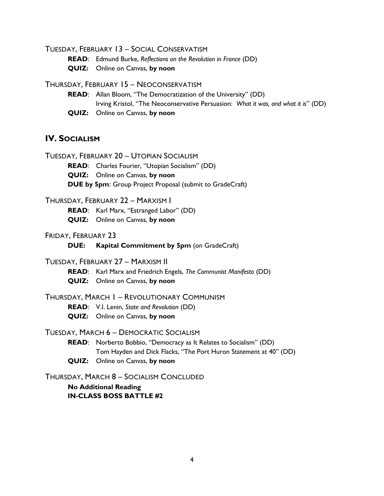TUESDAY, FEBRUARY 13 – SOCIAL CONSERVATISM

**READ**: Edmund Burke, *Reflections on the Revolution in France* (DD)

**QUIZ:** Online on Canvas, **by noon**

#### THURSDAY, FEBRUARY 15 – NEOCONSERVATISM

- **READ**: Allan Bloom, "The Democratization of the University" (DD) Irving Kristol, "The Neoconservative Persuasion: *What it was, and what it is*" (DD)
- **QUIZ:** Online on Canvas, **by noon**

### **IV. SOCIALISM**

- TUESDAY, FEBRUARY 20 UTOPIAN SOCIALISM
	- **READ**: Charles Fourier, "Utopian Socialism" (DD)

**QUIZ:** Online on Canvas, **by noon**

**DUE by 5pm**: Group Project Proposal (submit to GradeCraft)

#### THURSDAY, FEBRUARY 22 – MARXISM I

**READ**: Karl Marx, "Estranged Labor" (DD)

**QUIZ:** Online on Canvas, **by noon**

#### FRIDAY, FEBRUARY 23

**DUE: Kapital Commitment by 5pm** (on GradeCraft)

#### TUESDAY, FEBRUARY 27 – MARXISM II

**READ**: Karl Marx and Friedrich Engels, *The Communist Manifesto* (DD)

**QUIZ:** Online on Canvas, **by noon**

#### THURSDAY, MARCH 1 – REVOLUTIONARY COMMUNISM

- **READ**: V.I. Lenin, *State and Revolution* (DD)
- **QUIZ:** Online on Canvas, **by noon**

#### TUESDAY, MARCH 6 – DEMOCRATIC SOCIALISM

- **READ**: Norberto Bobbio, "Democracy as It Relates to Socialism" (DD) Tom Hayden and Dick Flacks, "The Port Huron Statement at 40" (DD)
- **QUIZ:** Online on Canvas, **by noon**

#### THURSDAY, MARCH 8 – SOCIALISM CONCLUDED

#### **No Additional Reading IN-CLASS BOSS BATTLE #2**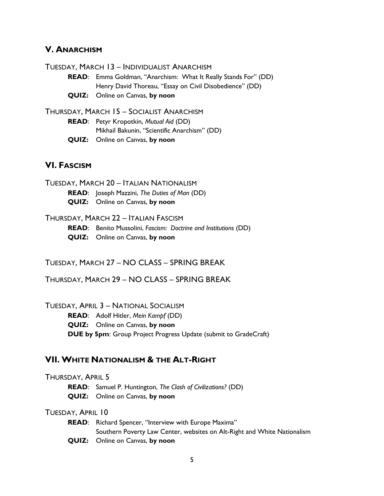### **V. ANARCHISM**

TUESDAY, MARCH 13 – INDIVIDUALIST ANARCHISM

**READ**: Emma Goldman, "Anarchism: What It Really Stands For" (DD) Henry David Thoreau, "Essay on Civil Disobedience" (DD)

**QUIZ:** Online on Canvas, **by noon**

THURSDAY, MARCH 15 – SOCIALIST ANARCHISM **READ**: Petyr Kropotkin, *Mutual Aid* (DD) Mikhail Bakunin, "Scientific Anarchism" (DD) **QUIZ:** Online on Canvas, **by noon**

#### **VI. FASCISM**

TUESDAY, MARCH 20 – ITALIAN NATIONALISM

**READ**: Joseph Mazzini, *The Duties of Man* (DD)

**QUIZ:** Online on Canvas, **by noon**

#### THURSDAY, MARCH 22 – ITALIAN FASCISM

**READ**: Benito Mussolini, *Fascism: Doctrine and Institutions* (DD)

**QUIZ:** Online on Canvas, **by noon**

TUESDAY, MARCH 27 – NO CLASS – SPRING BREAK

THURSDAY, MARCH 29 – NO CLASS – SPRING BREAK

TUESDAY, APRIL 3 – NATIONAL SOCIALISM

**READ**: Adolf Hitler, *Mein Kampf* (DD) **QUIZ:** Online on Canvas, **by noon DUE by 5pm**: Group Project Progress Update (submit to GradeCraft)

#### **VII. WHITE NATIONALISM & THE ALT-RIGHT**

THURSDAY, APRIL 5

**READ**: Samuel P. Huntington, *The Clash of Civilizations?* (DD)

**QUIZ:** Online on Canvas, **by noon**

#### TUESDAY, APRIL 10

**READ**: Richard Spencer, "Interview with Europe Maxima" Southern Poverty Law Center, websites on Alt-Right and White Nationalism **QUIZ:** Online on Canvas, **by noon**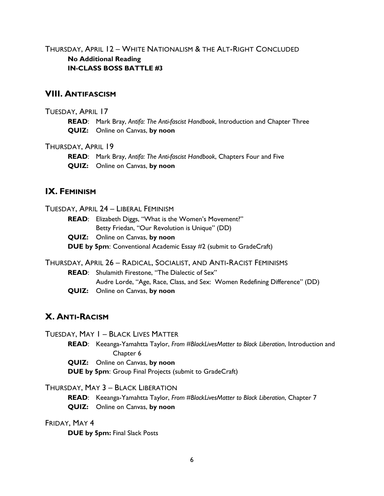THURSDAY, APRIL 12 – WHITE NATIONALISM & THE ALT-RIGHT CONCLUDED **No Additional Reading IN-CLASS BOSS BATTLE #3**

### **VIII. ANTIFASCISM**

#### TUESDAY, APRIL 17

**READ**: Mark Bray, *Antifa: The Anti-fascist Handbook*, Introduction and Chapter Three **QUIZ:** Online on Canvas, **by noon**

#### THURSDAY, APRIL 19

**READ**: Mark Bray, *Antifa: The Anti-fascist Handbook*, Chapters Four and Five **QUIZ:** Online on Canvas, **by noon**

### **IX. FEMINISM**

#### TUESDAY, APRIL 24 – LIBERAL FEMINISM

**READ**: Elizabeth Diggs, "What is the Women's Movement?" Betty Friedan, "Our Revolution is Unique" (DD)

- **QUIZ:** Online on Canvas, **by noon**
- **DUE by 5pm**: Conventional Academic Essay #2 (submit to GradeCraft)

### THURSDAY, APRIL 26 – RADICAL, SOCIALIST, AND ANTI-RACIST FEMINISMS

**READ**: Shulamith Firestone, "The Dialectic of Sex" Audre Lorde, "Age, Race, Class, and Sex: Women Redefining Difference" (DD)

**QUIZ:** Online on Canvas, **by noon**

### **X. ANTI-RACISM**

TUESDAY, MAY 1 – BLACK LIVES MATTER

**READ**: Keeanga-Yamahtta Taylor, *From #BlackLivesMatter to Black Liberation*, Introduction and Chapter 6

**QUIZ:** Online on Canvas, **by noon**

**DUE by 5pm**: Group Final Projects (submit to GradeCraft)

### THURSDAY, MAY 3 – BLACK LIBERATION

**READ**: Keeanga-Yamahtta Taylor, *From #BlackLivesMatter to Black Liberation*, Chapter 7 **QUIZ:** Online on Canvas, **by noon**

#### FRIDAY, MAY 4

**DUE by 5pm:** Final Slack Posts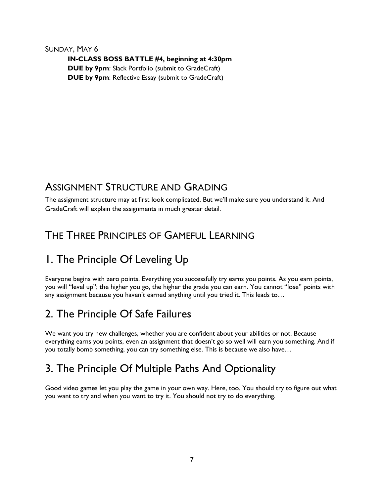SUNDAY, MAY 6 **IN-CLASS BOSS BATTLE #4, beginning at 4:30pm DUE by 9pm**: Slack Portfolio (submit to GradeCraft) **DUE by 9pm**: Reflective Essay (submit to GradeCraft)

### ASSIGNMENT STRUCTURE AND GRADING

The assignment structure may at first look complicated. But we'll make sure you understand it. And GradeCraft will explain the assignments in much greater detail.

## THE THREE PRINCIPLES OF GAMEFUL LEARNING

# 1. The Principle Of Leveling Up

Everyone begins with zero points. Everything you successfully try earns you points. As you earn points, you will "level up"; the higher you go, the higher the grade you can earn. You cannot "lose" points with any assignment because you haven't earned anything until you tried it. This leads to…

# 2. The Principle Of Safe Failures

We want you try new challenges, whether you are confident about your abilities or not. Because everything earns you points, even an assignment that doesn't go so well will earn you something. And if you totally bomb something, you can try something else. This is because we also have…

# 3. The Principle Of Multiple Paths And Optionality

Good video games let you play the game in your own way. Here, too. You should try to figure out what you want to try and when you want to try it. You should not try to do everything.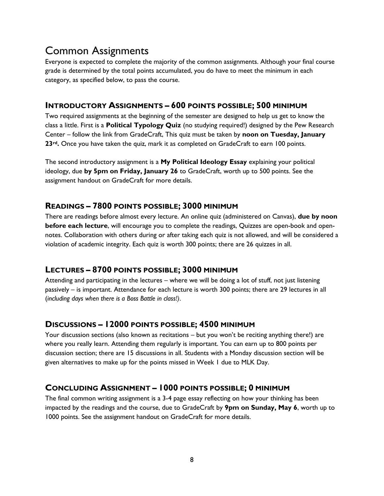# Common Assignments

Everyone is expected to complete the majority of the common assignments. Although your final course grade is determined by the total points accumulated, you do have to meet the minimum in each category, as specified below, to pass the course.

### **INTRODUCTORY ASSIGNMENTS – 600 POINTS POSSIBLE; 500 MINIMUM**

Two required assignments at the beginning of the semester are designed to help us get to know the class a little. First is a **Political Typology Quiz** (no studying required!) designed by the Pew Research Center – follow the link from GradeCraft, This quiz must be taken by **noon on Tuesday, January 23rd.** Once you have taken the quiz, mark it as completed on GradeCraft to earn 100 points.

The second introductory assignment is a **My Political Ideology Essay** explaining your political ideology, due **by 5pm on Friday, January 26** to GradeCraft, worth up to 500 points. See the assignment handout on GradeCraft for more details.

### **READINGS – 7800 POINTS POSSIBLE; 3000 MINIMUM**

There are readings before almost every lecture. An online quiz (administered on Canvas), **due by noon before each lecture**, will encourage you to complete the readings, Quizzes are open-book and opennotes. Collaboration with others during or after taking each quiz is not allowed, and will be considered a violation of academic integrity. Each quiz is worth 300 points; there are 26 quizzes in all.

### **LECTURES – 8700 POINTS POSSIBLE; 3000 MINIMUM**

Attending and participating in the lectures – where we will be doing a lot of stuff, not just listening passively – is important. Attendance for each lecture is worth 300 points; there are 29 lectures in all (*including days when there is a Boss Battle in class!)*.

### **DISCUSSIONS – 12000 POINTS POSSIBLE; 4500 MINIMUM**

Your discussion sections (also known as recitations – but you won't be reciting anything there!) are where you really learn. Attending them regularly is important. You can earn up to 800 points per discussion section; there are 15 discussions in all. Students with a Monday discussion section will be given alternatives to make up for the points missed in Week 1 due to MLK Day.

### **CONCLUDING ASSIGNMENT – 1000 POINTS POSSIBLE; 0 MINIMUM**

The final common writing assignment is a 3-4 page essay reflecting on how your thinking has been impacted by the readings and the course, due to GradeCraft by **9pm on Sunday, May 6**, worth up to 1000 points. See the assignment handout on GradeCraft for more details.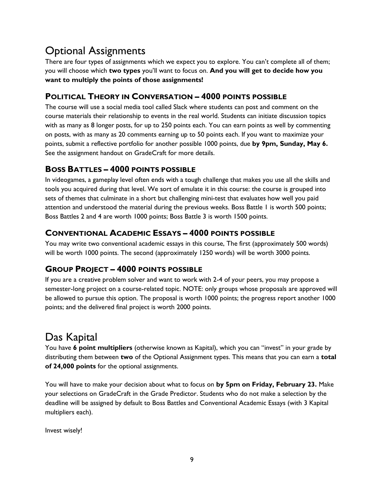# Optional Assignments

There are four types of assignments which we expect you to explore. You can't complete all of them; you will choose which **two types** you'll want to focus on. **And you will get to decide how you want to multiply the points of those assignments!**

### **POLITICAL THEORY IN CONVERSATION – 4000 POINTS POSSIBLE**

The course will use a social media tool called Slack where students can post and comment on the course materials their relationship to events in the real world. Students can initiate discussion topics with as many as 8 longer posts, for up to 250 points each. You can earn points as well by commenting on posts, with as many as 20 comments earning up to 50 points each. If you want to maximize your points, submit a reflective portfolio for another possible 1000 points, due **by 9pm, Sunday, May 6.**  See the assignment handout on GradeCraft for more details.

### **BOSS BATTLES – 4000 POINTS POSSIBLE**

In videogames, a gameplay level often ends with a tough challenge that makes you use all the skills and tools you acquired during that level. We sort of emulate it in this course: the course is grouped into sets of themes that culminate in a short but challenging mini-test that evaluates how well you paid attention and understood the material during the previous weeks. Boss Battle 1 is worth 500 points; Boss Battles 2 and 4 are worth 1000 points; Boss Battle 3 is worth 1500 points.

### **CONVENTIONAL ACADEMIC ESSAYS – 4000 POINTS POSSIBLE**

You may write two conventional academic essays in this course, The first (approximately 500 words) will be worth 1000 points. The second (approximately 1250 words) will be worth 3000 points.

### **GROUP PROJECT – 4000 POINTS POSSIBLE**

If you are a creative problem solver and want to work with 2-4 of your peers, you may propose a semester-long project on a course-related topic. NOTE: only groups whose proposals are approved will be allowed to pursue this option. The proposal is worth 1000 points; the progress report another 1000 points; and the delivered final project is worth 2000 points.

# Das Kapital

You have **6 point multipliers** (otherwise known as Kapital), which you can "invest" in your grade by distributing them between **two** of the Optional Assignment types. This means that you can earn a **total of 24,000 points** for the optional assignments.

You will have to make your decision about what to focus on **by 5pm on Friday, February 23.** Make your selections on GradeCraft in the Grade Predictor. Students who do not make a selection by the deadline will be assigned by default to Boss Battles and Conventional Academic Essays (with 3 Kapital multipliers each).

Invest wisely!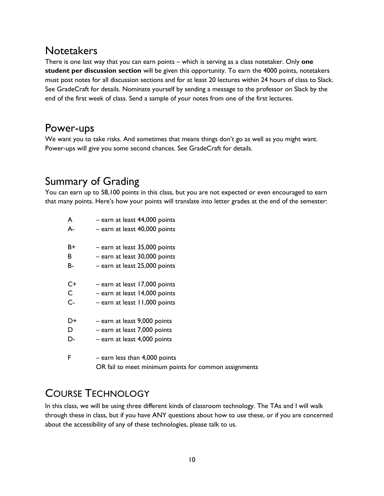### **Notetakers**

There is one last way that you can earn points – which is serving as a class notetaker. Only **one student per discussion section** will be given this opportunity. To earn the 4000 points, notetakers must post notes for all discussion sections and for at least 20 lectures within 24 hours of class to Slack. See GradeCraft for details. Nominate yourself by sending a message to the professor on Slack by the end of the first week of class. Send a sample of your notes from one of the first lectures.

### Power-ups

We want you to take risks. And sometimes that means things don't go as well as you might want. Power-ups will give you some second chances. See GradeCraft for details.

# Summary of Grading

You can earn up to 58,100 points in this class, but you are not expected or even encouraged to earn that many points. Here's how your points will translate into letter grades at the end of the semester:

| A     | - earn at least 44,000 points                         |
|-------|-------------------------------------------------------|
| А-    | - earn at least 40,000 points                         |
| B+    | - earn at least 35,000 points                         |
| В     | - earn at least 30,000 points                         |
| В-    | - earn at least 25,000 points                         |
| C+    | - earn at least 17,000 points                         |
| C     | $-$ earn at least 14,000 points                       |
| $C -$ | - earn at least 11,000 points                         |
| D+    | - earn at least 9,000 points                          |
| D     | - earn at least 7,000 points                          |
| D-    | - earn at least 4,000 points                          |
| F     | $-$ earn less than 4,000 points                       |
|       | OR fail to meet minimum points for common assignments |

# COURSE TECHNOLOGY

In this class, we will be using three different kinds of classroom technology. The TAs and I will walk through these in class, but if you have ANY questions about how to use these, or if you are concerned about the accessibility of any of these technologies, please talk to us.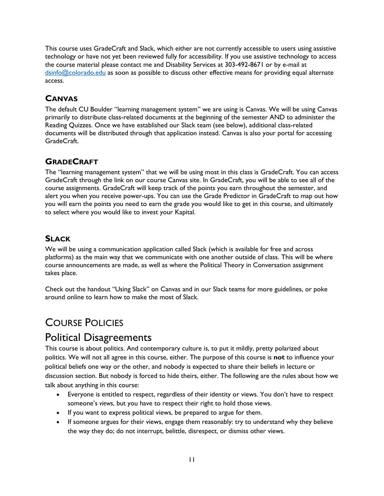This course uses GradeCraft and Slack, which either are not currently accessible to users using assistive technology or have not yet been reviewed fully for accessibility. If you use assistive technology to access the course material please contact me and Disability Services at 303-492-8671 or by e-mail at [dsinfo@colorado.edu](mailto:dsinfo@colorado.edu) as soon as possible to discuss other effective means for providing equal alternate access.

### **CANVAS**

The default CU Boulder "learning management system" we are using is Canvas. We will be using Canvas primarily to distribute class-related documents at the beginning of the semester AND to administer the Reading Quizzes. Once we have established our Slack team (see below), additional class-related documents will be distributed through that application instead. Canvas is also your portal for accessing GradeCraft.

### **GRADECRAFT**

The "learning management system" that we will be using most in this class is GradeCraft. You can access GradeCraft through the link on our course Canvas site. In GradeCraft, you will be able to see all of the course assignments. GradeCraft will keep track of the points you earn throughout the semester, and alert you when you receive power-ups. You can use the Grade Predictor in GradeCraft to map out how you will earn the points you need to earn the grade you would like to get in this course, and ultimately to select where you would like to invest your Kapital.

### **SLACK**

We will be using a communication application called Slack (which is available for free and across platforms) as the main way that we communicate with one another outside of class. This will be where course announcements are made, as well as where the Political Theory in Conversation assignment takes place.

Check out the handout "Using Slack" on Canvas and in our Slack teams for more guidelines, or poke around online to learn how to make the most of Slack.

# COURSE POLICIES

### Political Disagreements

This course is about politics. And contemporary culture is, to put it mildly, pretty polarized about politics. We will not all agree in this course, either. The purpose of this course is **not** to influence your political beliefs one way or the other, and nobody is expected to share their beliefs in lecture or discussion section. But nobody is forced to hide theirs, either. The following are the rules about how we talk about anything in this course:

- Everyone is entitled to respect, regardless of their identity or views. You don't have to respect someone's *views*, but you have to respect their right to hold those views.
- If you want to express political views, be prepared to argue for them.
- If someone argues for their views, engage them reasonably: try to understand why they believe the way they do; do not interrupt, belittle, disrespect, or dismiss other views.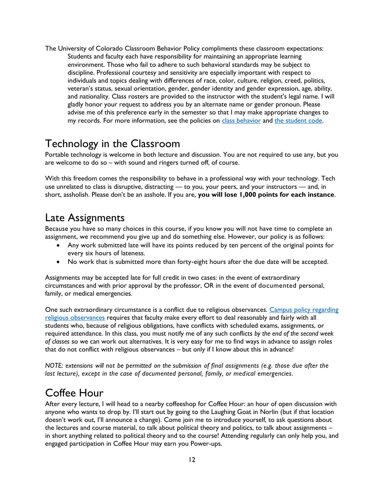The University of Colorado Classroom Behavior Policy compliments these classroom expectations: Students and faculty each have responsibility for maintaining an appropriate learning environment. Those who fail to adhere to such behavioral standards may be subject to discipline. Professional courtesy and sensitivity are especially important with respect to individuals and topics dealing with differences of race, color, culture, religion, creed, politics, veteran's status, sexual orientation, gender, gender identity and gender expression, age, ability, and nationality. Class rosters are provided to the instructor with the student's legal name. I will gladly honor your request to address you by an alternate name or gender pronoun. Please advise me of this preference early in the semester so that I may make appropriate changes to my records. For more information, see the policies on [class behavior](http://www.colorado.edu/policies/student-classroom-and-course-related-behavior) and [the student code.](http://www.colorado.edu/studentaffairs/judicialaffairs/code.html#student_code)

## Technology in the Classroom

Portable technology is welcome in both lecture and discussion. You are not required to use any, but you are welcome to do so – with sound and ringers turned off, of course.

With this freedom comes the responsibility to behave in a professional way with your technology. Tech use unrelated to class is disruptive, distracting — to you, your peers, and your instructors — and, in short, assholish. Please don't be an asshole. If you are, **you will lose 1,000 points for each instance**.

### Late Assignments

Because you have so many choices in this course, if you know you will not have time to complete an assignment, we recommend you give up and do something else. However, our policy is as follows:

- Any work submitted late will have its points reduced by ten percent of the original points for every six hours of lateness.
- No work that is submitted more than forty-eight hours after the due date will be accepted.

Assignments may be accepted late for full credit in two cases: in the event of extraordinary circumstances and with prior approval by the professor, OR in the event of documented personal, family, or medical emergencies.

One such extraordinary circumstance is a conflict due to religious observances. Campus policy regarding [religious observances](http://www.colorado.edu/policies/fac_relig.html) requires that faculty make every effort to deal reasonably and fairly with all students who, because of religious obligations, have conflicts with scheduled exams, assignments, or required attendance. In this class, you must notify me of any such conflicts *by the end of the second week of classes* so we can work out alternatives. It is very easy for me to find ways in advance to assign roles that do not conflict with religious observances – but only if I know about this in advance!

*NOTE: extensions will not be permitted on the submission of final assignments (e.g. those due after the last lecture), except in the case of documented personal, family, or medical emergencies.* 

# Coffee Hour

After every lecture, I will head to a nearby coffeeshop for Coffee Hour: an hour of open discussion with anyone who wants to drop by. I'll start out by going to the Laughing Goat in Norlin (but if that location doesn't work out, I'll announce a change). Come join me to introduce yourself, to ask questions about the lectures and course material, to talk about political theory and politics, to talk about assignments in short anything related to political theory and to the course! Attending regularly can only help you, and engaged participation in Coffee Hour may earn you Power-ups.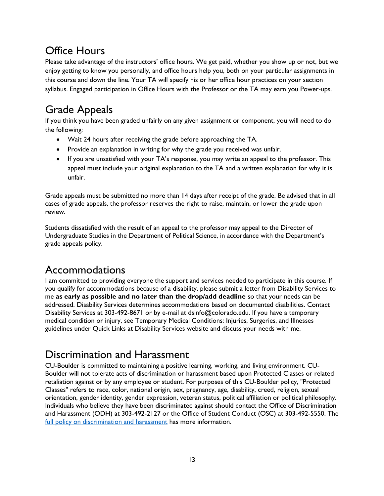# Office Hours

Please take advantage of the instructors' office hours. We get paid, whether you show up or not, but we enjoy getting to know you personally, and office hours help you, both on your particular assignments in this course and down the line. Your TA will specify his or her office hour practices on your section syllabus. Engaged participation in Office Hours with the Professor or the TA may earn you Power-ups.

# Grade Appeals

If you think you have been graded unfairly on any given assignment or component, you will need to do the following:

- Wait 24 hours after receiving the grade before approaching the TA.
- Provide an explanation in writing for why the grade you received was unfair.
- If you are unsatisfied with your TA's response, you may write an appeal to the professor. This appeal must include your original explanation to the TA and a written explanation for why it is unfair.

Grade appeals must be submitted no more than 14 days after receipt of the grade. Be advised that in all cases of grade appeals, the professor reserves the right to raise, maintain, or lower the grade upon review.

Students dissatisfied with the result of an appeal to the professor may appeal to the Director of Undergraduate Studies in the Department of Political Science, in accordance with the Department's grade appeals policy.

# Accommodations

I am committed to providing everyone the support and services needed to participate in this course. If you qualify for accommodations because of a disability, please submit a letter from Disability Services to me **as early as possible and no later than the drop/add deadline** so that your needs can be addressed. Disability Services determines accommodations based on documented disabilities. Contact Disability Services at 303-492-8671 or by e-mail at dsinfo@colorado.edu. If you have a temporary medical condition or injury, see Temporary Medical Conditions: Injuries, Surgeries, and Illnesses guidelines under Quick Links at Disability Services website and discuss your needs with me.

# Discrimination and Harassment

CU-Boulder is committed to maintaining a positive learning, working, and living environment. CU-Boulder will not tolerate acts of discrimination or harassment based upon Protected Classes or related retaliation against or by any employee or student. For purposes of this CU-Boulder policy, "Protected Classes" refers to race, color, national origin, sex, pregnancy, age, disability, creed, religion, sexual orientation, gender identity, gender expression, veteran status, political affiliation or political philosophy. Individuals who believe they have been discriminated against should contact the Office of Discrimination and Harassment (ODH) at 303-492-2127 or the Office of Student Conduct (OSC) at 303-492-5550. The [full policy on discrimination and harassment](http://www.colorado.edu/policies/discrimination-and-harassment-policy-and-procedures) has more information.